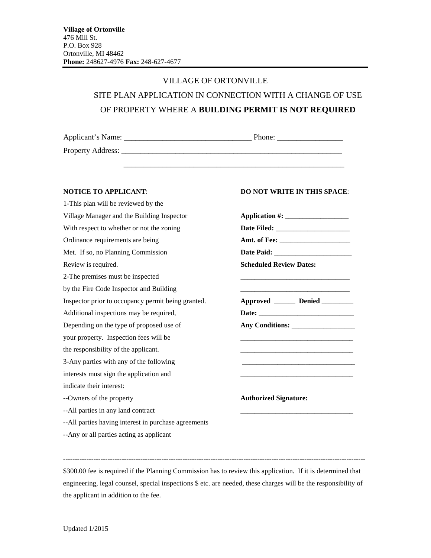## VILLAGE OF ORTONVILLE SITE PLAN APPLICATION IN CONNECTION WITH A CHANGE OF USE OF PROPERTY WHERE A **BUILDING PERMIT IS NOT REQUIRED**

\_\_\_\_\_\_\_\_\_\_\_\_\_\_\_\_\_\_\_\_\_\_\_\_\_\_\_\_\_\_\_\_\_\_\_\_\_\_\_\_\_\_\_\_\_\_\_\_\_\_\_\_\_\_\_\_\_

| Applicant's Name: | Phone: |
|-------------------|--------|
| Property Address: |        |

| <b>Scheduled Review Dates:</b>  |
|---------------------------------|
|                                 |
|                                 |
| Approved ______ Denied ________ |
|                                 |
|                                 |
|                                 |
|                                 |
|                                 |
|                                 |
|                                 |
| <b>Authorized Signature:</b>    |
|                                 |
|                                 |
|                                 |

--Any or all parties acting as applicant

## **NOTICE TO APPLICANT: DO NOT WRITE IN THIS SPACE:**

| <b>Scheduled Review Dates:</b> | and the state of the state of the state of the state of the state of the state of the state of the state of the |
|--------------------------------|-----------------------------------------------------------------------------------------------------------------|
|                                | Approved ______ Denied ________                                                                                 |
|                                |                                                                                                                 |
|                                | and the state of the state of the state of the state of the state of the state of the state of the              |
|                                |                                                                                                                 |
|                                |                                                                                                                 |

\$300.00 fee is required if the Planning Commission has to review this application. If it is determined that engineering, legal counsel, special inspections \$ etc. are needed, these charges will be the responsibility of the applicant in addition to the fee.

---------------------------------------------------------------------------------------------------------------------------------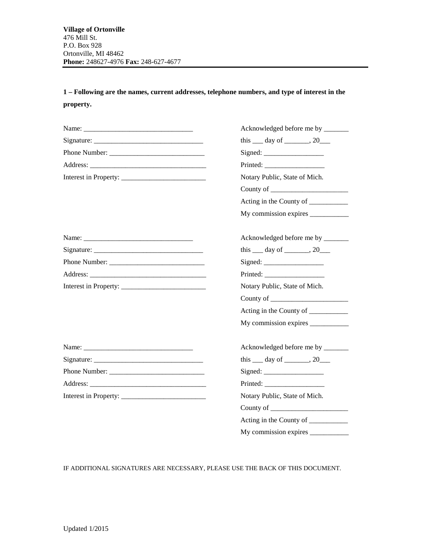**1 – Following are the names, current addresses, telephone numbers, and type of interest in the property.**

|               | Acknowledged before me by _______                                                              |  |
|---------------|------------------------------------------------------------------------------------------------|--|
|               | this $\_\_$ day of $\_\_$ , 20                                                                 |  |
| Phone Number: |                                                                                                |  |
|               |                                                                                                |  |
|               | Notary Public, State of Mich.                                                                  |  |
|               | County of $\frac{1}{\sqrt{1-\frac{1}{2}}}\left\vert \frac{1}{\sqrt{1-\frac{1}{2}}}\right\vert$ |  |
|               | Acting in the County of _________                                                              |  |
|               |                                                                                                |  |
| Name:         | Acknowledged before me by _______                                                              |  |
|               | this $\_\_$ day of $\_\_$ , 20 $\_\_$                                                          |  |
|               |                                                                                                |  |
|               |                                                                                                |  |
|               | Notary Public, State of Mich.                                                                  |  |
|               | County of $\frac{1}{\sqrt{1-\frac{1}{2}}}\left\vert \frac{1}{\sqrt{1-\frac{1}{2}}}\right\vert$ |  |
|               | Acting in the County of ___________                                                            |  |
|               |                                                                                                |  |
|               | Acknowledged before me by _______                                                              |  |
|               | this $\_\_$ day of $\_\_$ , 20 $\_\_$                                                          |  |
|               |                                                                                                |  |
|               |                                                                                                |  |
|               | Notary Public, State of Mich.                                                                  |  |
|               | County of $\frac{1}{\sqrt{1-\frac{1}{2}}}\left\vert \frac{1}{\sqrt{1-\frac{1}{2}}}\right\vert$ |  |
|               | Acting in the County of ___________                                                            |  |
|               |                                                                                                |  |

IF ADDITIONAL SIGNATURES ARE NECESSARY, PLEASE USE THE BACK OF THIS DOCUMENT.